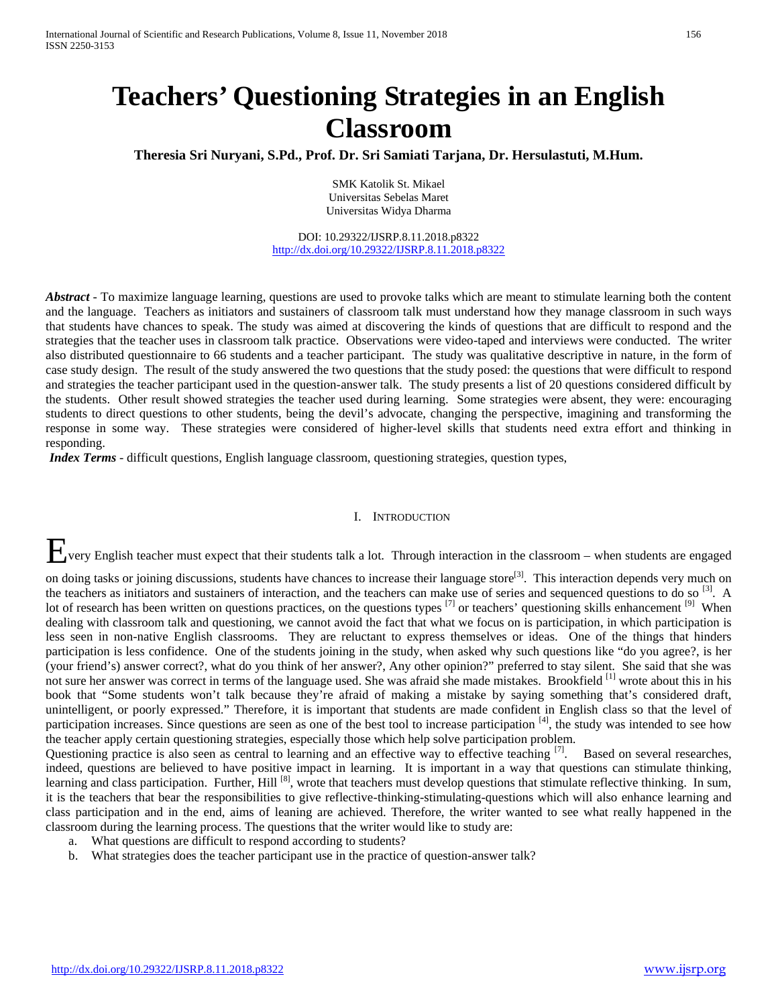# **Teachers' Questioning Strategies in an English Classroom**

**Theresia Sri Nuryani, S.Pd., Prof. Dr. Sri Samiati Tarjana, Dr. Hersulastuti, M.Hum.**

SMK Katolik St. Mikael Universitas Sebelas Maret Universitas Widya Dharma

DOI: 10.29322/IJSRP.8.11.2018.p8322 <http://dx.doi.org/10.29322/IJSRP.8.11.2018.p8322>

*Abstract* - To maximize language learning, questions are used to provoke talks which are meant to stimulate learning both the content and the language. Teachers as initiators and sustainers of classroom talk must understand how they manage classroom in such ways that students have chances to speak. The study was aimed at discovering the kinds of questions that are difficult to respond and the strategies that the teacher uses in classroom talk practice. Observations were video-taped and interviews were conducted. The writer also distributed questionnaire to 66 students and a teacher participant. The study was qualitative descriptive in nature, in the form of case study design. The result of the study answered the two questions that the study posed: the questions that were difficult to respond and strategies the teacher participant used in the question-answer talk. The study presents a list of 20 questions considered difficult by the students. Other result showed strategies the teacher used during learning. Some strategies were absent, they were: encouraging students to direct questions to other students, being the devil's advocate, changing the perspective, imagining and transforming the response in some way. These strategies were considered of higher-level skills that students need extra effort and thinking in responding.

*Index Terms -* difficult questions, English language classroom, questioning strategies, question types,

## I. INTRODUCTION

Every English teacher must expect that their students talk a lot. Through interaction in the classroom – when students are engaged

on doing tasks or joining discussions, students have chances to increase their language store<sup>[3]</sup>. This interaction depends very much on the teachers as initiators and sustainers of interaction, and the teachers can make use of series and sequenced questions to do so <sup>[3]</sup>. A lot of research has been written on questions practices, on the questions types <sup>[7]</sup> or teachers' questioning skills enhancement <sup>[9]</sup> When dealing with classroom talk and questioning, we cannot avoid the fact that what we focus on is participation, in which participation is less seen in non-native English classrooms. They are reluctant to express themselves or ideas. One of the things that hinders participation is less confidence. One of the students joining in the study, when asked why such questions like "do you agree?, is her (your friend's) answer correct?, what do you think of her answer?, Any other opinion?" preferred to stay silent. She said that she was not sure her answer was correct in terms of the language used. She was afraid she made mistakes. Brookfield <sup>[1]</sup> wrote about this in his book that "Some students won't talk because they're afraid of making a mistake by saying something that's considered draft, unintelligent, or poorly expressed." Therefore, it is important that students are made confident in English class so that the level of participation increases. Since questions are seen as one of the best tool to increase participation [4], the study was intended to see how the teacher apply certain questioning strategies, especially those which help solve participation problem.

Questioning practice is also seen as central to learning and an effective way to effective teaching <sup>[7]</sup>. Based on several researches, indeed, questions are believed to have positive impact in learning. It is important in a way that questions can stimulate thinking, learning and class participation. Further, Hill <sup>[8]</sup>, wrote that teachers must develop questions that stimulate reflective thinking. In sum, it is the teachers that bear the responsibilities to give reflective-thinking-stimulating-questions which will also enhance learning and class participation and in the end, aims of leaning are achieved. Therefore, the writer wanted to see what really happened in the classroom during the learning process. The questions that the writer would like to study are:

- a. What questions are difficult to respond according to students?
- b. What strategies does the teacher participant use in the practice of question-answer talk?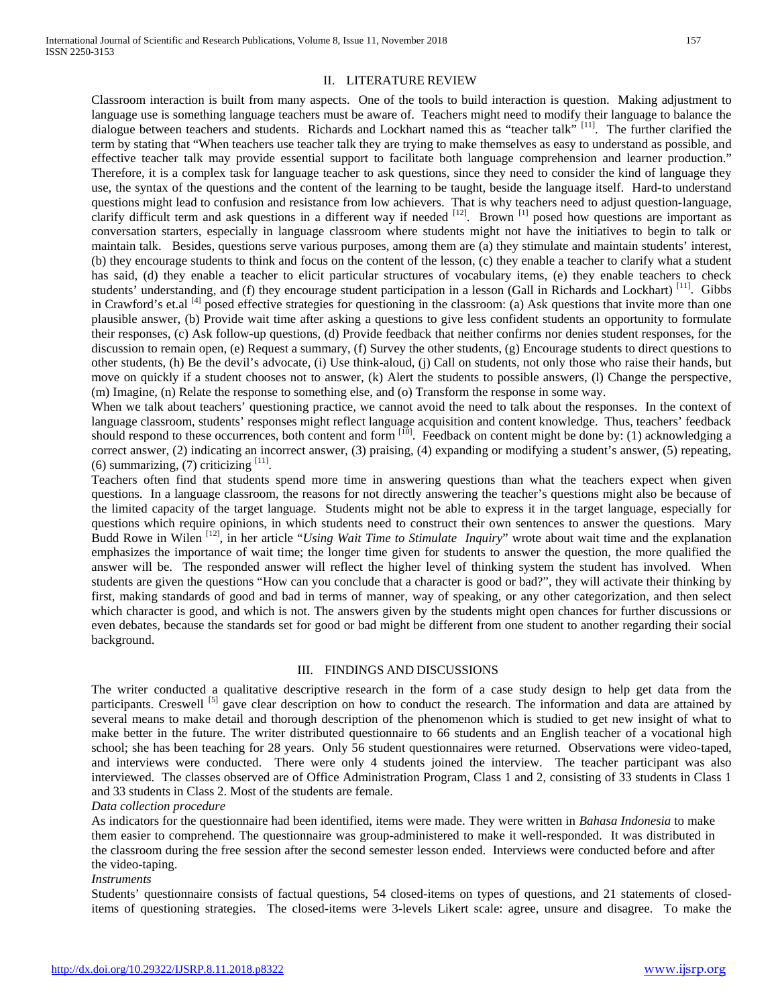Classroom interaction is built from many aspects. One of the tools to build interaction is question. Making adjustment to language use is something language teachers must be aware of. Teachers might need to modify their language to balance the dialogue between teachers and students. Richards and Lockhart named this as "teacher talk"<sup>[11]</sup>. The further clarified the term by stating that "When teachers use teacher talk they are trying to make themselves as easy to understand as possible, and effective teacher talk may provide essential support to facilitate both language comprehension and learner production." Therefore, it is a complex task for language teacher to ask questions, since they need to consider the kind of language they use, the syntax of the questions and the content of the learning to be taught, beside the language itself. Hard-to understand questions might lead to confusion and resistance from low achievers. That is why teachers need to adjust question-language, clarify difficult term and ask questions in a different way if needed  $[12]$ . Brown  $[1]$  posed how questions are important as conversation starters, especially in language classroom where students might not have the initiatives to begin to talk or maintain talk. Besides, questions serve various purposes, among them are (a) they stimulate and maintain students' interest, (b) they encourage students to think and focus on the content of the lesson, (c) they enable a teacher to clarify what a student has said, (d) they enable a teacher to elicit particular structures of vocabulary items, (e) they enable teachers to check students' understanding, and (f) they encourage student participation in a lesson (Gall in Richards and Lockhart) [11]. Gibbs in Crawford's et.al <sup>[4]</sup> posed effective strategies for questioning in the classroom: (a) Ask questions that invite more than one plausible answer, (b) Provide wait time after asking a questions to give less confident students an opportunity to formulate their responses, (c) Ask follow-up questions, (d) Provide feedback that neither confirms nor denies student responses, for the discussion to remain open, (e) Request a summary, (f) Survey the other students, (g) Encourage students to direct questions to other students, (h) Be the devil's advocate, (i) Use think-aloud, (j) Call on students, not only those who raise their hands, but move on quickly if a student chooses not to answer, (k) Alert the students to possible answers, (l) Change the perspective, (m) Imagine, (n) Relate the response to something else, and (o) Transform the response in some way.

When we talk about teachers' questioning practice, we cannot avoid the need to talk about the responses. In the context of language classroom, students' responses might reflect language acquisition and content knowledge. Thus, teachers' feedback should respond to these occurrences, both content and form  $[10]$ . Feedback on content might be done by: (1) acknowledging a correct answer, (2) indicating an incorrect answer, (3) praising, (4) expanding or modifying a student's answer, (5) repeating,  $(6)$  summarizing,  $(7)$  criticizing  $^{[11]}$ .

Teachers often find that students spend more time in answering questions than what the teachers expect when given questions. In a language classroom, the reasons for not directly answering the teacher's questions might also be because of the limited capacity of the target language. Students might not be able to express it in the target language, especially for questions which require opinions, in which students need to construct their own sentences to answer the questions. Mary Budd Rowe in Wilen<sup>[12]</sup>, in her article "Using Wait Time to Stimulate Inquiry" wrote about wait time and the explanation emphasizes the importance of wait time; the longer time given for students to answer the question, the more qualified the answer will be. The responded answer will reflect the higher level of thinking system the student has involved. When students are given the questions "How can you conclude that a character is good or bad?", they will activate their thinking by first, making standards of good and bad in terms of manner, way of speaking, or any other categorization, and then select which character is good, and which is not. The answers given by the students might open chances for further discussions or even debates, because the standards set for good or bad might be different from one student to another regarding their social background.

## III. FINDINGS AND DISCUSSIONS

The writer conducted a qualitative descriptive research in the form of a case study design to help get data from the participants. Creswell <sup>[5]</sup> gave clear description on how to conduct the research. The information and data are attained by several means to make detail and thorough description of the phenomenon which is studied to get new insight of what to make better in the future. The writer distributed questionnaire to 66 students and an English teacher of a vocational high school; she has been teaching for 28 years. Only 56 student questionnaires were returned. Observations were video-taped, and interviews were conducted. There were only 4 students joined the interview. The teacher participant was also interviewed. The classes observed are of Office Administration Program, Class 1 and 2, consisting of 33 students in Class 1 and 33 students in Class 2. Most of the students are female.

*Data collection procedure*

As indicators for the questionnaire had been identified, items were made. They were written in *Bahasa Indonesia* to make them easier to comprehend. The questionnaire was group-administered to make it well-responded. It was distributed in the classroom during the free session after the second semester lesson ended. Interviews were conducted before and after the video-taping.

#### *Instruments*

Students' questionnaire consists of factual questions, 54 closed-items on types of questions, and 21 statements of closeditems of questioning strategies. The closed-items were 3-levels Likert scale: agree, unsure and disagree. To make the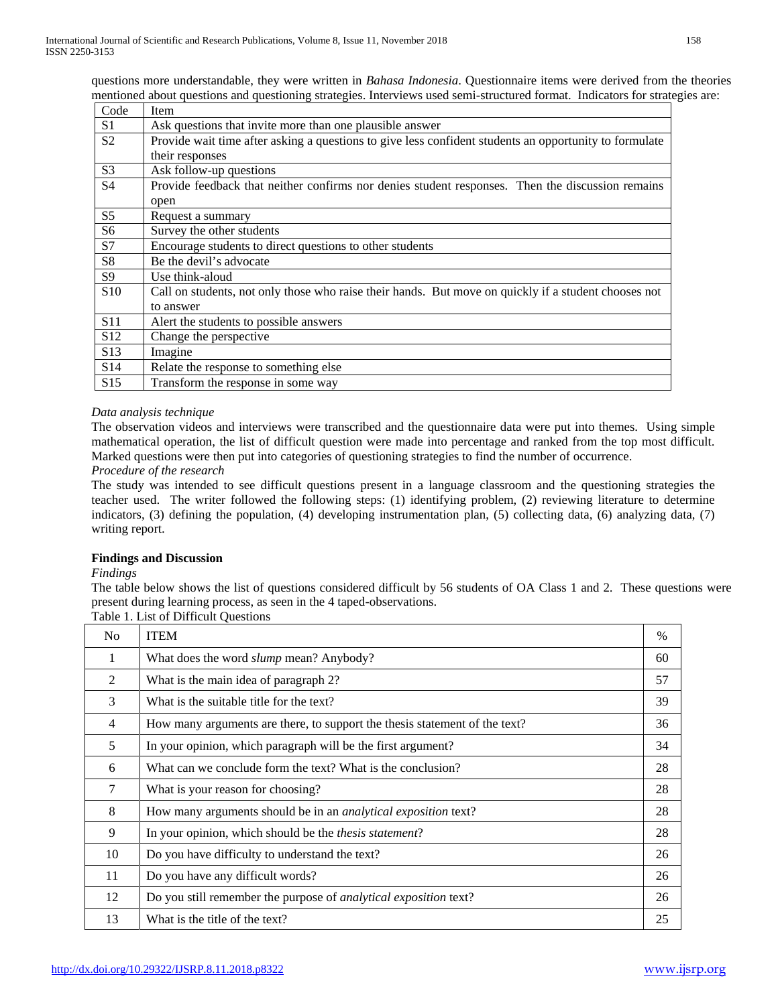questions more understandable, they were written in *Bahasa Indonesia*. Questionnaire items were derived from the theories mentioned about questions and questioning strategies. Interviews used semi-structured format. Indicators for strategies are:

| Code            | <b>Item</b>                                                                                            |
|-----------------|--------------------------------------------------------------------------------------------------------|
| S <sub>1</sub>  | Ask questions that invite more than one plausible answer                                               |
| S <sub>2</sub>  | Provide wait time after asking a questions to give less confident students an opportunity to formulate |
|                 | their responses                                                                                        |
| S <sub>3</sub>  | Ask follow-up questions                                                                                |
| S <sub>4</sub>  | Provide feedback that neither confirms nor denies student responses. Then the discussion remains       |
|                 | open                                                                                                   |
| S <sub>5</sub>  | Request a summary                                                                                      |
| S <sub>6</sub>  | Survey the other students                                                                              |
| S7              | Encourage students to direct questions to other students                                               |
| S <sub>8</sub>  | Be the devil's advocate                                                                                |
| S <sub>9</sub>  | Use think-aloud                                                                                        |
| S <sub>10</sub> | Call on students, not only those who raise their hands. But move on quickly if a student chooses not   |
|                 | to answer                                                                                              |
| S <sub>11</sub> | Alert the students to possible answers                                                                 |
| S <sub>12</sub> | Change the perspective                                                                                 |
| S <sub>13</sub> | Imagine                                                                                                |
| S <sub>14</sub> | Relate the response to something else                                                                  |
| S15             | Transform the response in some way                                                                     |

## *Data analysis technique*

The observation videos and interviews were transcribed and the questionnaire data were put into themes. Using simple mathematical operation, the list of difficult question were made into percentage and ranked from the top most difficult. Marked questions were then put into categories of questioning strategies to find the number of occurrence.

## *Procedure of the research*

The study was intended to see difficult questions present in a language classroom and the questioning strategies the teacher used. The writer followed the following steps: (1) identifying problem, (2) reviewing literature to determine indicators, (3) defining the population, (4) developing instrumentation plan, (5) collecting data, (6) analyzing data, (7) writing report.

## **Findings and Discussion**

*Findings*

The table below shows the list of questions considered difficult by 56 students of OA Class 1 and 2. These questions were present during learning process, as seen in the 4 taped-observations.

Table 1. List of Difficult Questions

| N <sub>0</sub> | <b>ITEM</b>                                                                | $\%$ |
|----------------|----------------------------------------------------------------------------|------|
| 1              | What does the word <i>slump</i> mean? Anybody?                             | 60   |
| 2              | What is the main idea of paragraph 2?                                      | 57   |
| 3              | What is the suitable title for the text?                                   | 39   |
| 4              | How many arguments are there, to support the thesis statement of the text? | 36   |
| 5              | In your opinion, which paragraph will be the first argument?               | 34   |
| 6              | What can we conclude form the text? What is the conclusion?                | 28   |
| $\tau$         | What is your reason for choosing?                                          | 28   |
| 8              | How many arguments should be in an <i>analytical exposition</i> text?      | 28   |
| 9              | In your opinion, which should be the <i>thesis statement</i> ?             | 28   |
| 10             | Do you have difficulty to understand the text?                             | 26   |
| 11             | Do you have any difficult words?                                           | 26   |
| 12             | Do you still remember the purpose of <i>analytical exposition</i> text?    | 26   |
| 13             | What is the title of the text?                                             | 25   |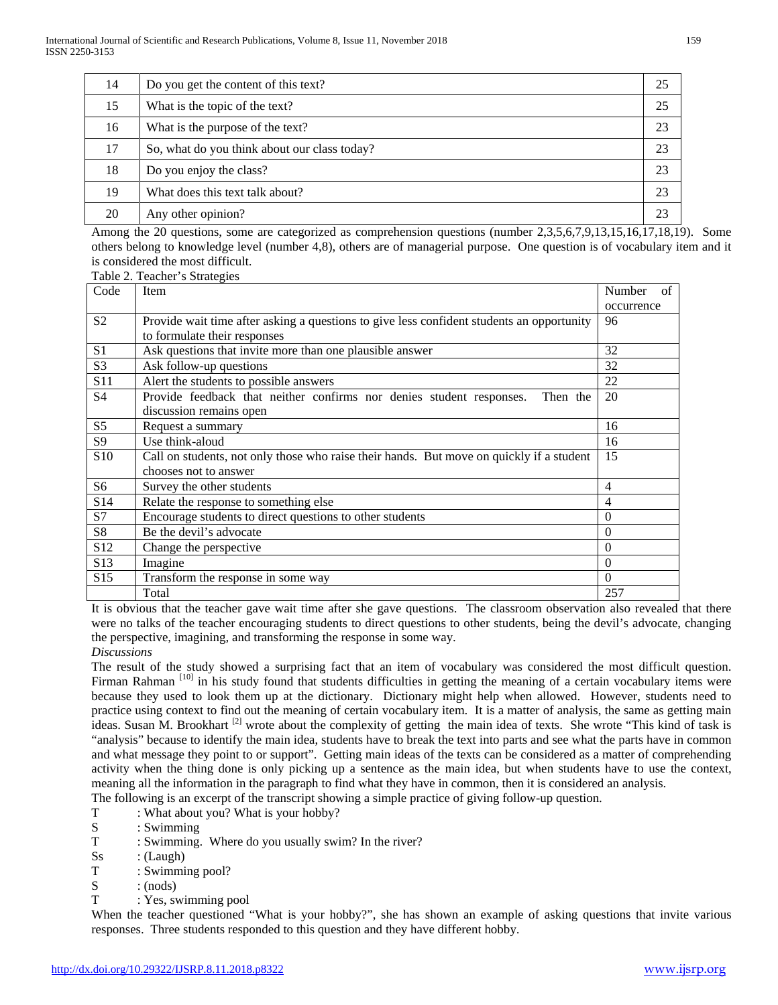| 14 | Do you get the content of this text?         | 25 |
|----|----------------------------------------------|----|
| 15 | What is the topic of the text?               | 25 |
| 16 | What is the purpose of the text?             | 23 |
| 17 | So, what do you think about our class today? | 23 |
| 18 | Do you enjoy the class?                      | 23 |
| 19 | What does this text talk about?              | 23 |
| 20 | Any other opinion?                           | 23 |
|    |                                              |    |

Among the 20 questions, some are categorized as comprehension questions (number 2,3,5,6,7,9,13,15,16,17,18,19). Some others belong to knowledge level (number 4,8), others are of managerial purpose. One question is of vocabulary item and it is considered the most difficult.

Table 2. Teacher's Strategies

| Code            | Item                                                                                      | Number<br>of   |
|-----------------|-------------------------------------------------------------------------------------------|----------------|
|                 |                                                                                           | occurrence     |
| S <sub>2</sub>  | Provide wait time after asking a questions to give less confident students an opportunity | 96             |
|                 | to formulate their responses                                                              |                |
| S <sub>1</sub>  | Ask questions that invite more than one plausible answer                                  | 32             |
| S <sub>3</sub>  | Ask follow-up questions                                                                   | 32             |
| S11             | Alert the students to possible answers                                                    | 22             |
| S <sub>4</sub>  | Provide feedback that neither confirms nor denies student responses.<br>Then the          | 20             |
|                 | discussion remains open                                                                   |                |
| S <sub>5</sub>  | Request a summary                                                                         | 16             |
| S <sub>9</sub>  | Use think-aloud                                                                           | 16             |
| S <sub>10</sub> | Call on students, not only those who raise their hands. But move on quickly if a student  | 15             |
|                 | chooses not to answer                                                                     |                |
| S6              | Survey the other students                                                                 | $\overline{4}$ |
| S <sub>14</sub> | Relate the response to something else                                                     | 4              |
| S7              | Encourage students to direct questions to other students                                  | $\Omega$       |
| S <sub>8</sub>  | Be the devil's advocate                                                                   | $\Omega$       |
| S <sub>12</sub> | Change the perspective                                                                    | $\Omega$       |
| S <sub>13</sub> | Imagine                                                                                   | $\Omega$       |
| S <sub>15</sub> | Transform the response in some way                                                        | $\Omega$       |
|                 | Total                                                                                     | 257            |

It is obvious that the teacher gave wait time after she gave questions. The classroom observation also revealed that there were no talks of the teacher encouraging students to direct questions to other students, being the devil's advocate, changing the perspective, imagining, and transforming the response in some way.

*Discussions*

The result of the study showed a surprising fact that an item of vocabulary was considered the most difficult question. Firman Rahman<sup>[10]</sup> in his study found that students difficulties in getting the meaning of a certain vocabulary items were because they used to look them up at the dictionary. Dictionary might help when allowed. However, students need to practice using context to find out the meaning of certain vocabulary item. It is a matter of analysis, the same as getting main ideas. Susan M. Brookhart<sup>[2]</sup> wrote about the complexity of getting the main idea of texts. She wrote "This kind of task is "analysis" because to identify the main idea, students have to break the text into parts and see what the parts have in common and what message they point to or support". Getting main ideas of the texts can be considered as a matter of comprehending activity when the thing done is only picking up a sentence as the main idea, but when students have to use the context, meaning all the information in the paragraph to find what they have in common, then it is considered an analysis.

The following is an excerpt of the transcript showing a simple practice of giving follow-up question.

- T : What about you? What is your hobby?
- S : Swimming
- T : Swimming. Where do you usually swim? In the river?
- $Ss$  : (Laugh)
- T : Swimming pool?
- $S : (nods)$ <br>T : Yes. sv
- : Yes, swimming pool

When the teacher questioned "What is your hobby?", she has shown an example of asking questions that invite various responses. Three students responded to this question and they have different hobby.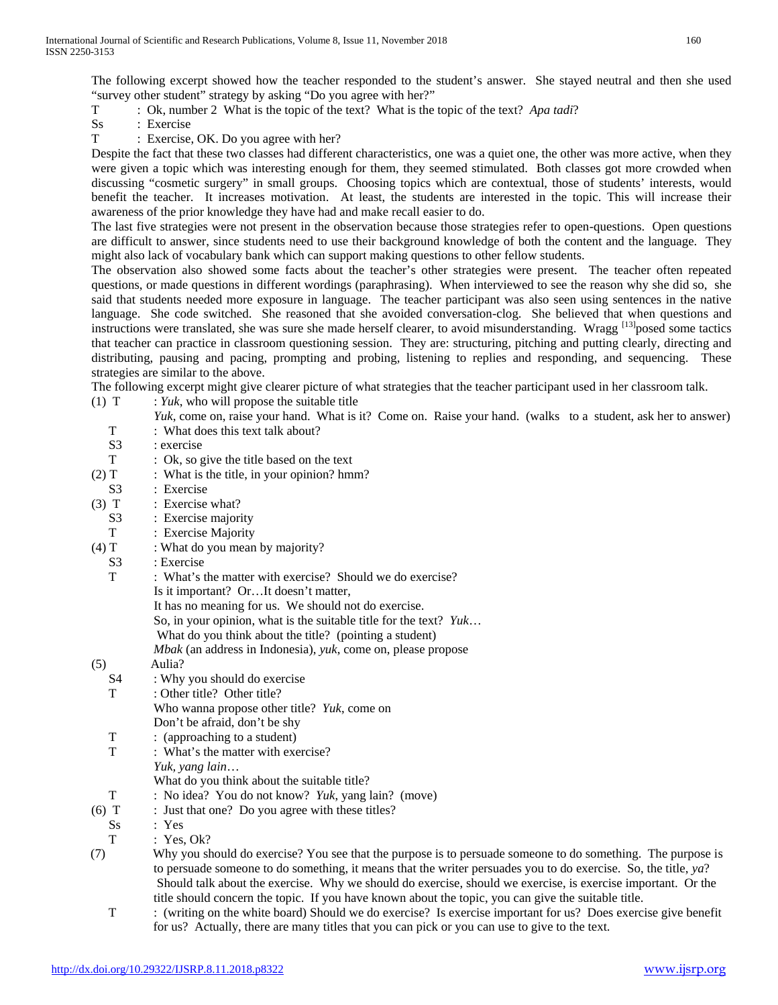The following excerpt showed how the teacher responded to the student's answer. She stayed neutral and then she used "survey other student" strategy by asking "Do you agree with her?"

T : Ok, number 2 What is the topic of the text? What is the topic of the text? *Apa tadi*?

- Ss : Exercise<br>T : Exercise
- : Exercise, OK. Do you agree with her?

Despite the fact that these two classes had different characteristics, one was a quiet one, the other was more active, when they were given a topic which was interesting enough for them, they seemed stimulated. Both classes got more crowded when discussing "cosmetic surgery" in small groups. Choosing topics which are contextual, those of students' interests, would benefit the teacher. It increases motivation. At least, the students are interested in the topic. This will increase their awareness of the prior knowledge they have had and make recall easier to do.

The last five strategies were not present in the observation because those strategies refer to open-questions. Open questions are difficult to answer, since students need to use their background knowledge of both the content and the language. They might also lack of vocabulary bank which can support making questions to other fellow students.

The observation also showed some facts about the teacher's other strategies were present. The teacher often repeated questions, or made questions in different wordings (paraphrasing). When interviewed to see the reason why she did so, she said that students needed more exposure in language. The teacher participant was also seen using sentences in the native language. She code switched. She reasoned that she avoided conversation-clog. She believed that when questions and instructions were translated, she was sure she made herself clearer, to avoid misunderstanding. Wragg [13] posed some tactics that teacher can practice in classroom questioning session. They are: structuring, pitching and putting clearly, directing and distributing, pausing and pacing, prompting and probing, listening to replies and responding, and sequencing. These strategies are similar to the above.

The following excerpt might give clearer picture of what strategies that the teacher participant used in her classroom talk.

(1)  $T$  : *Yuk*, who will propose the suitable title

*Yuk*, come on, raise your hand. What is it? Come on. Raise your hand. (walks to a student, ask her to answer)

- T : What does this text talk about? S3 : exercise T : Ok, so give the title based on the text (2)  $T$  : What is the title, in your opinion? hmm? S3 : Exercise (3) T : Exercise what? S3 : Exercise majority T : Exercise Majority (4)  $T$  : What do you mean by majority? S3 : Exercise T : What's the matter with exercise? Should we do exercise? Is it important? Or…It doesn't matter, It has no meaning for us. We should not do exercise. So, in your opinion, what is the suitable title for the text? *Yuk*… What do you think about the title? (pointing a student) *Mbak* (an address in Indonesia), *yuk*, come on, please propose (5) Aulia? S4 : Why you should do exercise T : Other title? Other title? Who wanna propose other title? *Yuk*, come on Don't be afraid, don't be shy T : (approaching to a student) T : What's the matter with exercise? *Yuk, yang lain*… What do you think about the suitable title?<br>T  $\cdot$  No idea? You do not know? Yuk yang I : No idea? You do not know? *Yuk*, yang lain? (move) (6)  $T$  : Just that one? Do you agree with these titles? Ss : Yes T : Yes, Ok? (7) Why you should do exercise? You see that the purpose is to persuade someone to do something. The purpose is to persuade someone to do something, it means that the writer persuades you to do exercise. So, the title, *ya*? Should talk about the exercise. Why we should do exercise, should we exercise, is exercise important. Or the title should concern the topic. If you have known about the topic, you can give the suitable title.
	- T : (writing on the white board) Should we do exercise? Is exercise important for us? Does exercise give benefit for us? Actually, there are many titles that you can pick or you can use to give to the text.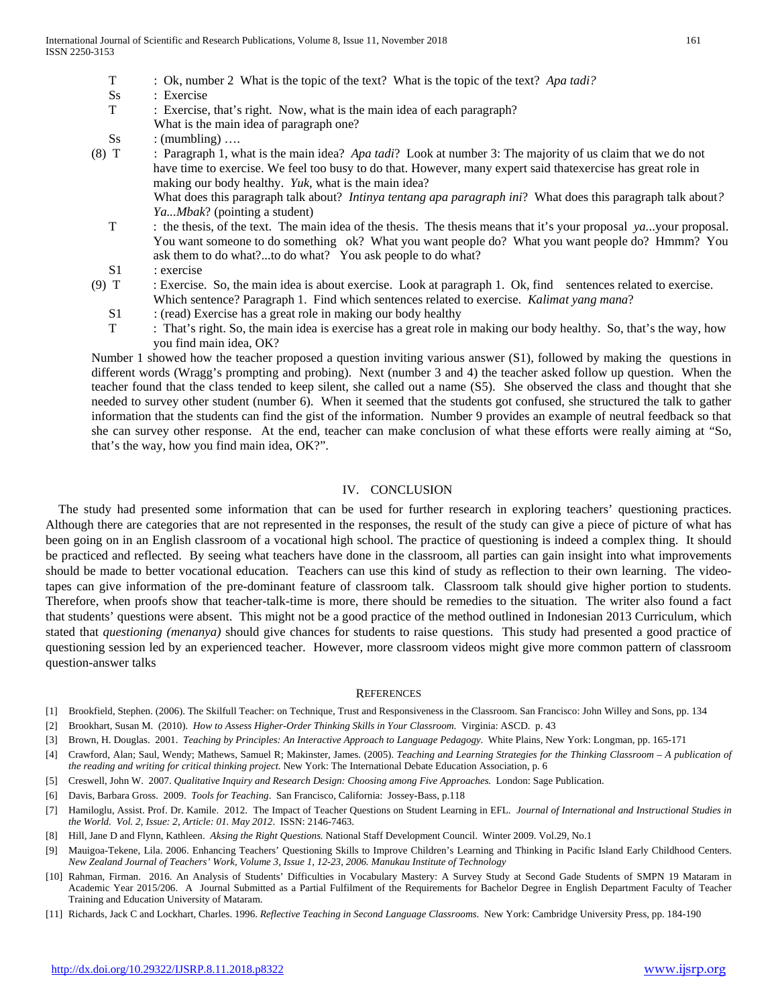- T : Ok, number 2 What is the topic of the text? What is the topic of the text? *Apa tadi?*
- Ss : Exercise
- T : Exercise, that's right. Now, what is the main idea of each paragraph?
- What is the main idea of paragraph one?
- $Ss$  : (mumbling) ....
- (8) T : Paragraph 1, what is the main idea? *Apa tadi*? Look at number 3: The majority of us claim that we do not have time to exercise. We feel too busy to do that. However, many expert said thatexercise has great role in making our body healthy. *Yuk*, what is the main idea?

What does this paragraph talk about? *Intinya tentang apa paragraph ini*? What does this paragraph talk about*? Ya...Mbak*? (pointing a student)

- T : the thesis, of the text. The main idea of the thesis. The thesis means that it's your proposal *ya.*..your proposal. You want someone to do something ok? What you want people do? What you want people do? Hmmm? You ask them to do what?...to do what? You ask people to do what?
- S1 : exercise
- (9) T : Exercise. So, the main idea is about exercise. Look at paragraph 1. Ok, find sentences related to exercise. Which sentence? Paragraph 1. Find which sentences related to exercise. *Kalimat yang mana*?
	- $S1$  : (read) Exercise has a great role in making our body healthy
	- T : That's right. So, the main idea is exercise has a great role in making our body healthy. So, that's the way, how you find main idea, OK?

Number 1 showed how the teacher proposed a question inviting various answer (S1), followed by making the questions in different words (Wragg's prompting and probing). Next (number 3 and 4) the teacher asked follow up question. When the teacher found that the class tended to keep silent, she called out a name (S5). She observed the class and thought that she needed to survey other student (number 6). When it seemed that the students got confused, she structured the talk to gather information that the students can find the gist of the information. Number 9 provides an example of neutral feedback so that she can survey other response. At the end, teacher can make conclusion of what these efforts were really aiming at "So, that's the way, how you find main idea, OK?".

## IV. CONCLUSION

The study had presented some information that can be used for further research in exploring teachers' questioning practices. Although there are categories that are not represented in the responses, the result of the study can give a piece of picture of what has been going on in an English classroom of a vocational high school. The practice of questioning is indeed a complex thing. It should be practiced and reflected. By seeing what teachers have done in the classroom, all parties can gain insight into what improvements should be made to better vocational education. Teachers can use this kind of study as reflection to their own learning. The videotapes can give information of the pre-dominant feature of classroom talk. Classroom talk should give higher portion to students. Therefore, when proofs show that teacher-talk-time is more, there should be remedies to the situation. The writer also found a fact that students' questions were absent. This might not be a good practice of the method outlined in Indonesian 2013 Curriculum, which stated that *questioning (menanya)* should give chances for students to raise questions. This study had presented a good practice of questioning session led by an experienced teacher. However, more classroom videos might give more common pattern of classroom question-answer talks

#### **REFERENCES**

- [1] Brookfield, Stephen. (2006). The Skilfull Teacher: on Technique, Trust and Responsiveness in the Classroom. San Francisco: John Willey and Sons, pp. 134
- [2] Brookhart, Susan M. (2010). *How to Assess Higher-Order Thinking Skills in Your Classroom*. Virginia: ASCD. p. 43
- [3] Brown, H. Douglas. 2001. *Teaching by Principles: An Interactive Approach to Language Pedagogy*. White Plains, New York: Longman, pp. 165-171
- [4] Crawford, Alan; Saul, Wendy; Mathews, Samuel R; Makinster, James. (2005). *Teaching and Learning Strategies for the Thinking Classroom – A publication of the reading and writing for critical thinking project.* New York: The International Debate Education Association, p. 6
- [5] Creswell, John W. 2007. *Qualitative Inquiry and Research Design: Choosing among Five Approaches.* London: Sage Publication.
- [6] Davis, Barbara Gross. 2009. *Tools for Teaching*. San Francisco, California: Jossey-Bass, p.118
- [7] Hamiloglu, Assist. Prof. Dr. Kamile. 2012. The Impact of Teacher Questions on Student Learning in EFL. *Journal of International and Instructional Studies in the World. Vol. 2, Issue: 2, Article: 01. May 2012*. ISSN: 2146-7463.
- [8] Hill, Jane D and Flynn, Kathleen. *Aksing the Right Questions.* National Staff Development Council. Winter 2009. Vol.29, No.1
- [9] Mauigoa-Tekene, Lila. 2006. Enhancing Teachers' Questioning Skills to Improve Children's Learning and Thinking in Pacific Island Early Childhood Centers. *New Zealand Journal of Teachers' Work, Volume 3, Issue 1, 12-23, 2006. Manukau Institute of Technology*
- [10] Rahman, Firman. 2016. An Analysis of Students' Difficulties in Vocabulary Mastery: A Survey Study at Second Gade Students of SMPN 19 Mataram in Academic Year 2015/206. A Journal Submitted as a Partial Fulfilment of the Requirements for Bachelor Degree in English Department Faculty of Teacher Training and Education University of Mataram.
- [11] Richards, Jack C and Lockhart, Charles. 1996. *Reflective Teaching in Second Language Classrooms*. New York: Cambridge University Press, pp. 184-190